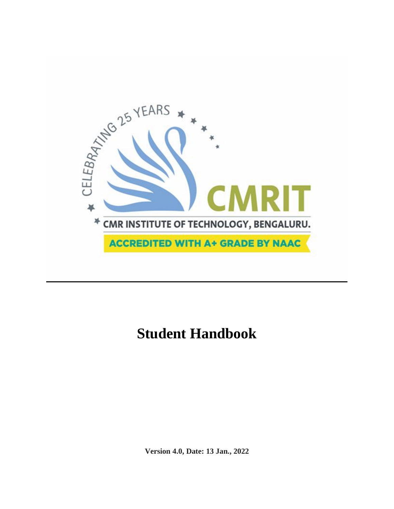

# **Student Handbook**

**Version 4.0, Date: 13 Jan., 2022**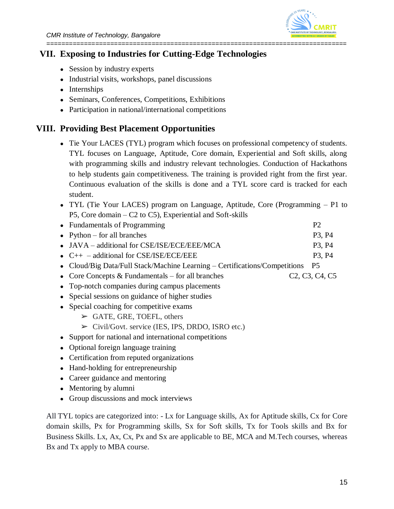

## **VII. Exposing to Industries for Cutting-Edge Technologies**

- **●** Session by industry experts
- **●** Industrial visits, workshops, panel discussions
- **●** Internships
- **●** Seminars, Conferences, Competitions, Exhibitions
- **●** Participation in national/international competitions

### **VIII. Providing Best Placement Opportunities**

**●** Tie Your LACES (TYL) program which focuses on professional competency of students. TYL focuses on Language, Aptitude, Core domain, Experiential and Soft skills, along with programming skills and industry relevant technologies. Conduction of Hackathons to help students gain competitiveness. The training is provided right from the first year. Continuous evaluation of the skills is done and a TYL score card is tracked for each student.

*================================================================================* 

**●** TYL (Tie Your LACES) program on Language, Aptitude, Core (Programming – P1 to P5, Core domain – C2 to C5), Experiential and Soft-skills

|           | • Fundamentals of Programming                                              | P <sub>2</sub>                                                    |
|-----------|----------------------------------------------------------------------------|-------------------------------------------------------------------|
|           | • Python $-$ for all branches                                              | P <sub>3</sub> , P <sub>4</sub>                                   |
|           | • JAVA – additional for CSE/ISE/ECE/EEE/MCA                                | P <sub>3</sub> , P <sub>4</sub>                                   |
|           | • $C++$ – additional for CSE/ISE/ECE/EEE                                   | P <sub>3</sub> , P <sub>4</sub>                                   |
|           | • Cloud/Big Data/Full Stack/Machine Learning – Certifications/Competitions | <b>P5</b>                                                         |
|           | • Core Concepts $& Fundamentals - for all branches$                        | C <sub>2</sub> , C <sub>3</sub> , C <sub>4</sub> , C <sub>5</sub> |
|           | • Top-notch companies during campus placements                             |                                                                   |
| $\bullet$ | Special sessions on guidance of higher studies                             |                                                                   |
|           | • Special coaching for competitive exams                                   |                                                                   |
|           | $\triangleright$ GATE, GRE, TOEFL, others                                  |                                                                   |
|           | $\triangleright$ Civil/Govt. service (IES, IPS, DRDO, ISRO etc.)           |                                                                   |
|           | Support for national and international competitions                        |                                                                   |
|           |                                                                            |                                                                   |

- **●** Optional foreign language training
- **●** Certification from reputed organizations
- **●** Hand-holding for entrepreneurship
- **●** Career guidance and mentoring
- **●** Mentoring by alumni
- **●** Group discussions and mock interviews

All TYL topics are categorized into: - Lx for Language skills, Ax for Aptitude skills, Cx for Core domain skills, Px for Programming skills, Sx for Soft skills, Tx for Tools skills and Bx for Business Skills. Lx, Ax, Cx, Px and Sx are applicable to BE, MCA and M.Tech courses, whereas Bx and Tx apply to MBA course.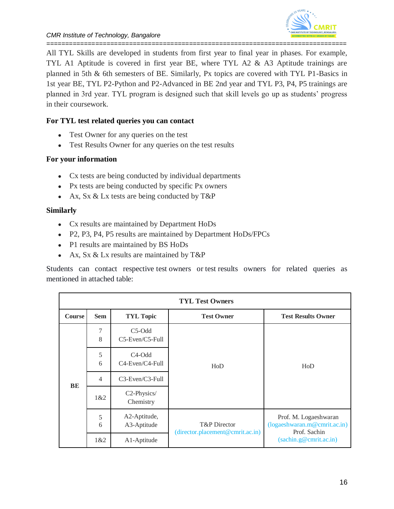All TYL Skills are developed in students from first year to final year in phases. For example, TYL A1 Aptitude is covered in first year BE, where TYL A2 & A3 Aptitude trainings are planned in 5th & 6th semesters of BE. Similarly, Px topics are covered with TYL P1-Basics in 1st year BE, TYL P2-Python and P2-Advanced in BE 2nd year and TYL P3, P4, P5 trainings are planned in 3rd year. TYL program is designed such that skill levels go up as students' progress in their coursework.

*================================================================================* 

#### **For TYL test related queries you can contact**

- Test Owner for any queries on the test
- Test Results Owner for any queries on the test results

#### **For your information**

- Cx tests are being conducted by individual departments
- Px tests are being conducted by specific Px owners
- Ax, Sx & Lx tests are being conducted by T&P

#### **Similarly**

- Cx results are maintained by Department HoDs
- P2, P3, P4, P5 results are maintained by Department HoDs/FPCs
- P1 results are maintained by BS HoDs
- Ax, Sx & Lx results are maintained by  $T\&P$

Students can contact respective test owners or test results owners for related queries as mentioned in attached table:

| <b>TYL Test Owners</b> |                |                                               |                                                   |                                                                       |  |
|------------------------|----------------|-----------------------------------------------|---------------------------------------------------|-----------------------------------------------------------------------|--|
| <b>Course</b>          | <b>Sem</b>     | <b>TYL Topic</b>                              | <b>Test Owner</b>                                 | <b>Test Results Owner</b>                                             |  |
|                        | 7<br>8         | $C5$ -Odd<br>$C5$ -Even/ $C5$ -Full           |                                                   |                                                                       |  |
|                        | 5<br>6         | C <sub>4</sub> -Odd<br>$C4$ -Even/ $C4$ -Full | H <sub>0</sub> D                                  | H <sub>0</sub> D                                                      |  |
| <b>BE</b>              | $\overline{4}$ | $C3$ -Even/ $C3$ -Full                        |                                                   |                                                                       |  |
|                        | 1&2            | C <sub>2</sub> -Physics/<br>Chemistry         |                                                   |                                                                       |  |
|                        | 5<br>6         | A2-Aptitude,<br>A3-Aptitude                   | T&P Director<br>(director. placement@cmrit.ac.in) | Prof. M. Logaeshwaran<br>(logaeshwaran.m@cmrit.ac.in)<br>Prof. Sachin |  |
|                        | 1&2            | A1-Aptitude                                   |                                                   | (sachin.g@cmrit.ac.in)                                                |  |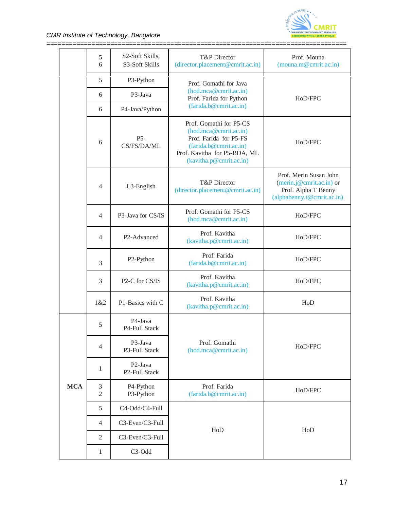

*CMR Institute of Technology, Bangalore*

|            | 5<br>6                           | S2-Soft Skills,<br>S3-Soft Skills | T&P Director<br>(director.placement@cmrit.ac.in)                                                                                                                 | Prof. Mouna<br>(mouna.m@cmrit.ac.in)                                                                       |
|------------|----------------------------------|-----------------------------------|------------------------------------------------------------------------------------------------------------------------------------------------------------------|------------------------------------------------------------------------------------------------------------|
|            | 5                                | P3-Python                         | Prof. Gomathi for Java                                                                                                                                           |                                                                                                            |
|            | 6                                | P3-Java                           | (hod.maca@cmrit.ac.in)<br>Prof. Farida for Python                                                                                                                | HoD/FPC                                                                                                    |
|            | 6                                | P4-Java/Python                    | (farida.b@cmrit.ac.in)                                                                                                                                           |                                                                                                            |
|            | 6                                | $P5-$<br>CS/FS/DA/ML              | Prof. Gomathi for P5-CS<br>(hod.maca@cmrit.ac.in)<br>Prof. Farida for P5-FS<br>(farida.b@cmrit.ac.in)<br>Prof. Kavitha for P5-BDA, ML<br>(kavitha.p@cmrit.ac.in) | HoD/FPC                                                                                                    |
|            | $\overline{4}$                   | L3-English                        | T&P Director<br>(director.placement@cmrit.ac.in)                                                                                                                 | Prof. Merin Susan John<br>$(merin. j@cmrit.ac.in)$ or<br>Prof. Alpha T Benny<br>(alphabenny.t@cmrit.ac.in) |
|            | $\overline{4}$                   | P3-Java for CS/IS                 | Prof. Gomathi for P5-CS<br>(hod.maca@cmrit.ac.in)                                                                                                                | HoD/FPC                                                                                                    |
|            | $\overline{4}$                   | P2-Advanced                       | Prof. Kavitha<br>(kavitha.p@cmrit.ac.in)                                                                                                                         | HoD/FPC                                                                                                    |
|            | 3                                | P <sub>2</sub> -Python            | Prof. Farida<br>(farida.b@cmrit.ac.in)                                                                                                                           | HoD/FPC                                                                                                    |
|            | 3                                | P2-C for CS/IS                    | Prof. Kavitha<br>(kavitha.p@cmrit.ac.in)                                                                                                                         | HoD/FPC                                                                                                    |
|            | 1&2                              | P1-Basics with C                  | Prof. Kavitha<br>(kavitha.p@cmrit.ac.in)                                                                                                                         | HoD                                                                                                        |
|            | 5                                | P4-Java<br>P4-Full Stack          |                                                                                                                                                                  |                                                                                                            |
|            | $\overline{4}$                   | P3-Java<br>P3-Full Stack          | Prof. Gomathi<br>(hod.maca@cmrit.ac.in)                                                                                                                          | HoD/FPC                                                                                                    |
|            | 1                                | P2-Java<br>P2-Full Stack          |                                                                                                                                                                  |                                                                                                            |
| <b>MCA</b> | $\mathfrak{Z}$<br>$\overline{2}$ | P4-Python<br>P3-Python            | Prof. Farida<br>(farida.b@cmrit.ac.in)                                                                                                                           | HoD/FPC                                                                                                    |
|            | 5                                | C4-Odd/C4-Full                    |                                                                                                                                                                  |                                                                                                            |
|            | $\overline{4}$                   | C3-Even/C3-Full                   |                                                                                                                                                                  |                                                                                                            |
|            | 2                                | C3-Even/C3-Full                   | HoD                                                                                                                                                              | HoD                                                                                                        |
|            | 1                                | C3-Odd                            |                                                                                                                                                                  |                                                                                                            |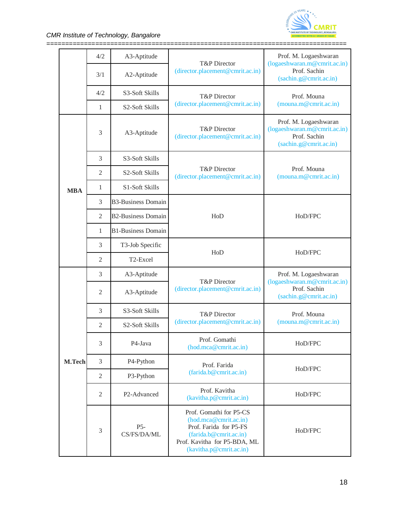

*CMR Institute of Technology, Bangalore*

|            | 4/2            | A3-Aptitude               | <b>T&amp;P</b> Director                                                                                                                                          | Prof. M. Logaeshwaran<br>(logaeshwaran.m@cmrit.ac.in)<br>Prof. Sachin                           |
|------------|----------------|---------------------------|------------------------------------------------------------------------------------------------------------------------------------------------------------------|-------------------------------------------------------------------------------------------------|
|            | 3/1            | A2-Aptitude               | (director.placement@cmrit.ac.in)                                                                                                                                 | (sachin.g@cmrit.ac.in)                                                                          |
|            | 4/2            | S3-Soft Skills            | <b>T&amp;P</b> Director                                                                                                                                          | Prof. Mouna                                                                                     |
|            | 1              | S2-Soft Skills            | (director.placement@cmrit.ac.in)                                                                                                                                 | (mouna.m@cmrit.ac.in)                                                                           |
|            | 3              | A3-Aptitude               | T&P Director<br>(director.placement@cmrit.ac.in)                                                                                                                 | Prof. M. Logaeshwaran<br>(logaeshwaran.m@cmrit.ac.in)<br>Prof. Sachin<br>(sachin.g@cmrit.ac.in) |
|            | 3              | S3-Soft Skills            |                                                                                                                                                                  |                                                                                                 |
|            | $\overline{2}$ | S2-Soft Skills            | T&P Director<br>(director.placement@cmrit.ac.in)                                                                                                                 | Prof. Mouna<br>(mouna.m@cmrit.ac.in)                                                            |
| <b>MBA</b> | $\mathbf{1}$   | S1-Soft Skills            |                                                                                                                                                                  |                                                                                                 |
|            | 3              | <b>B3-Business Domain</b> |                                                                                                                                                                  |                                                                                                 |
|            | $\overline{2}$ | <b>B2-Business Domain</b> | H <sub>0</sub>                                                                                                                                                   | HoD/FPC                                                                                         |
|            | 1              | <b>B1-Business Domain</b> |                                                                                                                                                                  |                                                                                                 |
|            | 3              | T3-Job Specific           | HoD                                                                                                                                                              | HoD/FPC                                                                                         |
|            | $\mathfrak{2}$ | T2-Excel                  |                                                                                                                                                                  |                                                                                                 |
|            | 3              | A3-Aptitude               | <b>T&amp;P</b> Director                                                                                                                                          | Prof. M. Logaeshwaran<br>(logaeshwaran.m@cmrit.ac.in)                                           |
|            | $\mathfrak{2}$ | A3-Aptitude               | (director.placement@cmrit.ac.in)                                                                                                                                 | Prof. Sachin<br>(sachin.g@cmrit.ac.in)                                                          |
|            | 3              | S3-Soft Skills            | <b>T&amp;P</b> Director<br>(director.placement@cmrit.ac.in)                                                                                                      | Prof. Mouna                                                                                     |
|            | 2              | S2-Soft Skills            |                                                                                                                                                                  | (mouna.m@cmrit.ac.in)                                                                           |
|            | 3              | P4-Java                   | Prof. Gomathi<br>(hod.maca@cmrit.ac.in)                                                                                                                          | HoD/FPC                                                                                         |
| M.Tech     | 3              | P4-Python                 | Prof. Farida                                                                                                                                                     | HoD/FPC                                                                                         |
|            | 2              | P3-Python                 | (farida.b@cmrit.ac.in)                                                                                                                                           |                                                                                                 |
|            | $\mathfrak{2}$ | P2-Advanced               | Prof. Kavitha<br>(kavitha.p@cmrit.ac.in)                                                                                                                         | HoD/FPC                                                                                         |
|            | 3              | $P5-$<br>CS/FS/DA/ML      | Prof. Gomathi for P5-CS<br>(hod.maca@cmrit.ac.in)<br>Prof. Farida for P5-FS<br>(farida.b@cmrit.ac.in)<br>Prof. Kavitha for P5-BDA, ML<br>(kavitha.p@cmrit.ac.in) | HoD/FPC                                                                                         |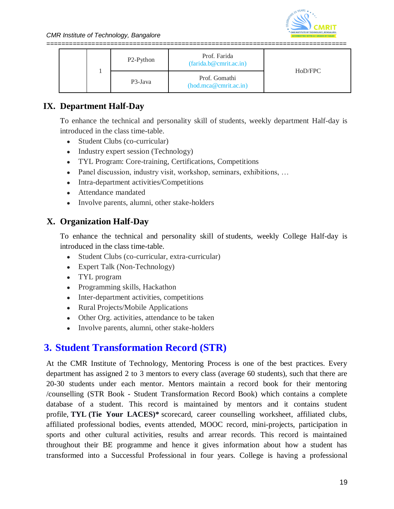

|  | P <sub>2</sub> -Python | Prof. Farida<br>(farida.b@cmrit.ac.in)  |                      |
|--|------------------------|-----------------------------------------|----------------------|
|  | P3-Java                | Prof. Gomathi<br>(hod.maca@cmrit.ac.in) | H <sub>o</sub> D/FPC |

## **IX. Department Half-Day**

To enhance the technical and personality skill of students, weekly department Half-day is introduced in the class time-table.

- Student Clubs (co-curricular)
- Industry expert session (Technology)
- TYL Program: Core-training, Certifications, Competitions
- Panel discussion, industry visit, workshop, seminars, exhibitions, ...
- Intra-department activities/Competitions
- Attendance mandated
- Involve parents, alumni, other stake-holders

## **X. Organization Half-Day**

To enhance the technical and personality skill of students, weekly College Half-day is introduced in the class time-table.

- Student Clubs (co-curricular, extra-curricular)
- Expert Talk (Non-Technology)
- TYL program
- Programming skills, Hackathon
- Inter-department activities, competitions
- Rural Projects/Mobile Applications
- Other Org. activities, attendance to be taken
- Involve parents, alumni, other stake-holders

## **3. Student Transformation Record (STR)**

At the CMR Institute of Technology, Mentoring Process is one of the best practices. Every department has assigned 2 to 3 mentors to every class (average 60 students), such that there are 20-30 students under each mentor. Mentors maintain a record book for their mentoring /counselling (STR Book - Student Transformation Record Book) which contains a complete database of a student. This record is maintained by mentors and it contains student profile, **TYL (Tie Your LACES)\*** scorecard, career counselling worksheet, affiliated clubs, affiliated professional bodies, events attended, MOOC record, mini-projects, participation in sports and other cultural activities, results and arrear records. This record is maintained throughout their BE programme and hence it gives information about how a student has transformed into a Successful Professional in four years. College is having a professional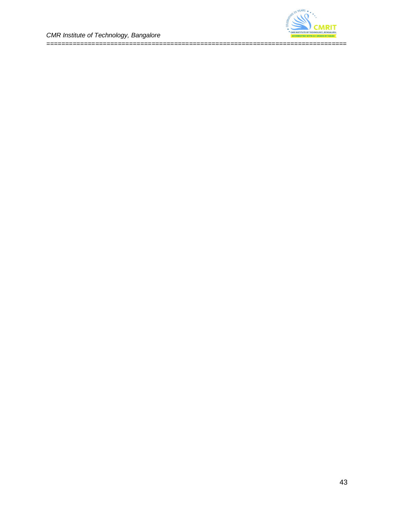*================================================================================*